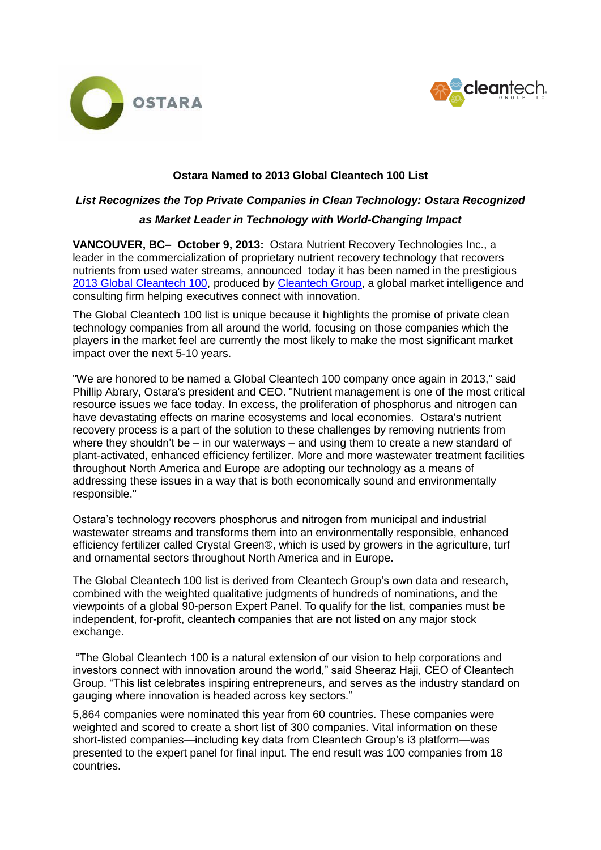



### **Ostara Named to 2013 Global Cleantech 100 List**

# *List Recognizes the Top Private Companies in Clean Technology: Ostara Recognized as Market Leader in Technology with World-Changing Impact*

**VANCOUVER, BC– October 9, 2013:** Ostara Nutrient Recovery Technologies Inc., a leader in the commercialization of proprietary nutrient recovery technology that recovers nutrients from used water streams, announced today it has been named in the prestigious 2013 [Global Cleantech 100,](http://www.cleantech.com/global-cleantech-100/) produced by [Cleantech Group,](http://www.cleantech.com/) a global market intelligence and consulting firm helping executives connect with innovation.

The Global Cleantech 100 list is unique because it highlights the promise of private clean technology companies from all around the world, focusing on those companies which the players in the market feel are currently the most likely to make the most significant market impact over the next 5-10 years.

"We are honored to be named a Global Cleantech 100 company once again in 2013," said Phillip Abrary, Ostara's president and CEO. "Nutrient management is one of the most critical resource issues we face today. In excess, the proliferation of phosphorus and nitrogen can have devastating effects on marine ecosystems and local economies. Ostara's nutrient recovery process is a part of the solution to these challenges by removing nutrients from where they shouldn't be – in our waterways – and using them to create a new standard of plant-activated, enhanced efficiency fertilizer. More and more wastewater treatment facilities throughout North America and Europe are adopting our technology as a means of addressing these issues in a way that is both economically sound and environmentally responsible."

Ostara's technology recovers phosphorus and nitrogen from municipal and industrial wastewater streams and transforms them into an environmentally responsible, enhanced efficiency fertilizer called Crystal Green®, which is used by growers in the agriculture, turf and ornamental sectors throughout North America and in Europe.

The Global Cleantech 100 list is derived from Cleantech Group's own data and research, combined with the weighted qualitative judgments of hundreds of nominations, and the viewpoints of a global 90-person Expert Panel. To qualify for the list, companies must be independent, for-profit, cleantech companies that are not listed on any major stock exchange.

"The Global Cleantech 100 is a natural extension of our vision to help corporations and investors connect with innovation around the world," said Sheeraz Haji, CEO of Cleantech Group. "This list celebrates inspiring entrepreneurs, and serves as the industry standard on gauging where innovation is headed across key sectors."

5,864 companies were nominated this year from 60 countries. These companies were weighted and scored to create a short list of 300 companies. Vital information on these short-listed companies—including key data from Cleantech Group's i3 platform—was presented to the expert panel for final input. The end result was 100 companies from 18 countries.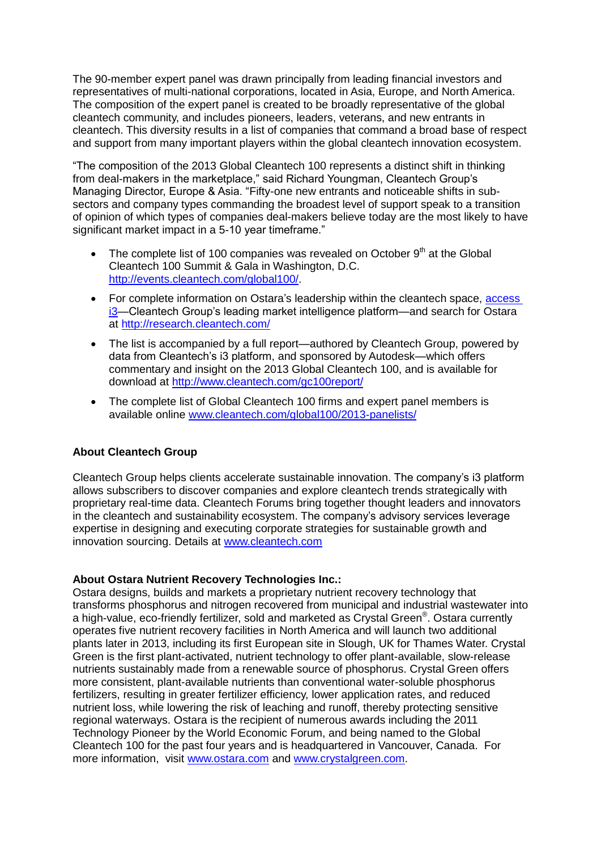The 90-member expert panel was drawn principally from leading financial investors and representatives of multi-national corporations, located in Asia, Europe, and North America. The composition of the expert panel is created to be broadly representative of the global cleantech community, and includes pioneers, leaders, veterans, and new entrants in cleantech. This diversity results in a list of companies that command a broad base of respect and support from many important players within the global cleantech innovation ecosystem.

"The composition of the 2013 Global Cleantech 100 represents a distinct shift in thinking from deal-makers in the marketplace," said Richard Youngman, Cleantech Group's Managing Director, Europe & Asia. "Fifty-one new entrants and noticeable shifts in subsectors and company types commanding the broadest level of support speak to a transition of opinion of which types of companies deal-makers believe today are the most likely to have significant market impact in a 5-10 year timeframe."

- The complete list of 100 companies was revealed on October  $9<sup>th</sup>$  at the Global Cleantech 100 Summit & Gala in Washington, D.C. [http://events.cleantech.com/global100/.](http://events.cleantech.com/global100/)
- For complete information on Ostara's leadership within the cleantech space, access [i3—](http://research.cleantech.com/)Cleantech Group's leading market intelligence platform—and search for Ostara at<http://research.cleantech.com/>
- The list is accompanied by a full report—authored by Cleantech Group, powered by data from Cleantech's i3 platform, and sponsored by Autodesk—which offers commentary and insight on the 2013 Global Cleantech 100, and is available for download at<http://www.cleantech.com/gc100report/>
- The complete list of Global Cleantech 100 firms and expert panel members is available online [www.cleantech.com/global100/2013-panelists/](http://www.cleantech.com/global100/2013-panelists/)

## **About Cleantech Group**

Cleantech Group helps clients accelerate sustainable innovation. The company's i3 platform allows subscribers to discover companies and explore cleantech trends strategically with proprietary real-time data. Cleantech Forums bring together thought leaders and innovators in the cleantech and sustainability ecosystem. The company's advisory services leverage expertise in designing and executing corporate strategies for sustainable growth and innovation sourcing. Details at [www.cleantech.com](http://www.cleantech.com/)

### **About Ostara Nutrient Recovery Technologies Inc.:**

Ostara designs, builds and markets a proprietary nutrient recovery technology that transforms phosphorus and nitrogen recovered from municipal and industrial wastewater into a high-value, eco-friendly fertilizer, sold and marketed as Crystal Green<sup>®</sup>. Ostara currently operates five nutrient recovery facilities in North America and will launch two additional plants later in 2013, including its first European site in Slough, UK for Thames Water. Crystal Green is the first plant-activated, nutrient technology to offer plant-available, slow-release nutrients sustainably made from a renewable source of phosphorus. Crystal Green offers more consistent, plant-available nutrients than conventional water-soluble phosphorus fertilizers, resulting in greater fertilizer efficiency, lower application rates, and reduced nutrient loss, while lowering the risk of leaching and runoff, thereby protecting sensitive regional waterways. Ostara is the recipient of numerous awards including the 2011 Technology Pioneer by the World Economic Forum, and being named to the Global Cleantech 100 for the past four years and is headquartered in Vancouver, Canada. For more information, visit [www.ostara.com](http://www.ostara.com/) and [www.crystalgreen.com.](http://www.crystalgreen.com/)